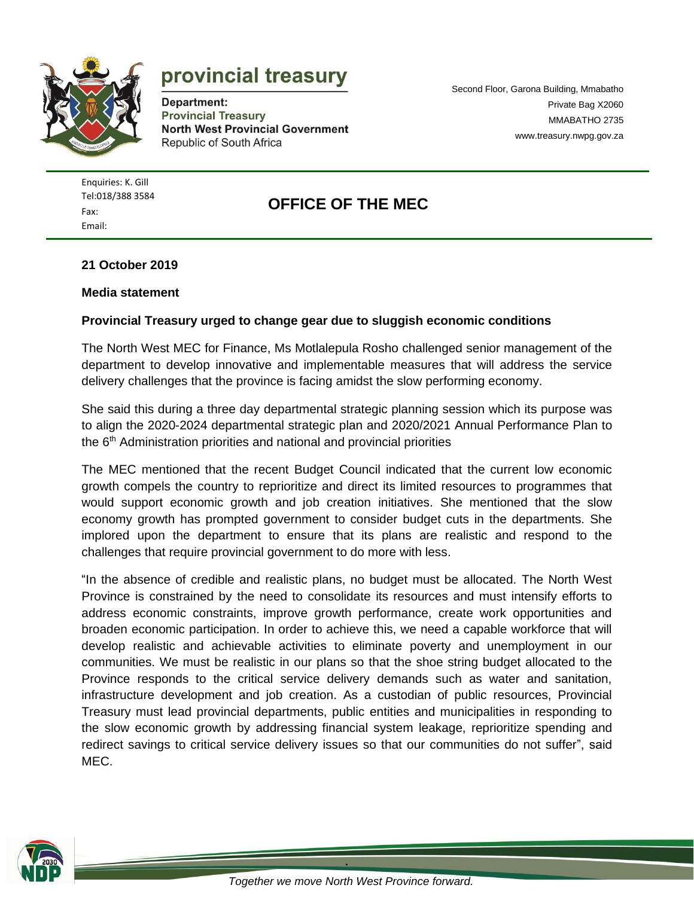

# provincial treasury

Department: **Provincial Treasury North West Provincial Government** Republic of South Africa

Second Floor, Garona Building, Mmabatho Private Bag X2060 MMABATHO 2735 [www.treasury.nwpg.gov.za](http://www.treasury.nwpg.gov.za/)

Enquiries: K. Gill [Tel:018/388](tel:018/388) 3584 Fax: Email:

## **OFFICE OF THE MEC**

#### **21 October 2019**

#### **Media statement**

#### **Provincial Treasury urged to change gear due to sluggish economic conditions**

The North West MEC for Finance, Ms Motlalepula Rosho challenged senior management of the department to develop innovative and implementable measures that will address the service delivery challenges that the province is facing amidst the slow performing economy.

She said this during a three day departmental strategic planning session which its purpose was to align the 2020-2024 departmental strategic plan and 2020/2021 Annual Performance Plan to the 6<sup>th</sup> Administration priorities and national and provincial priorities

The MEC mentioned that the recent Budget Council indicated that the current low economic growth compels the country to reprioritize and direct its limited resources to programmes that would support economic growth and job creation initiatives. She mentioned that the slow economy growth has prompted government to consider budget cuts in the departments. She implored upon the department to ensure that its plans are realistic and respond to the challenges that require provincial government to do more with less.

"In the absence of credible and realistic plans, no budget must be allocated. The North West Province is constrained by the need to consolidate its resources and must intensify efforts to address economic constraints, improve growth performance, create work opportunities and broaden economic participation. In order to achieve this, we need a capable workforce that will develop realistic and achievable activities to eliminate poverty and unemployment in our communities. We must be realistic in our plans so that the shoe string budget allocated to the Province responds to the critical service delivery demands such as water and sanitation, infrastructure development and job creation. As a custodian of public resources, Provincial Treasury must lead provincial departments, public entities and municipalities in responding to the slow economic growth by addressing financial system leakage, reprioritize spending and redirect savings to critical service delivery issues so that our communities do not suffer", said MEC.